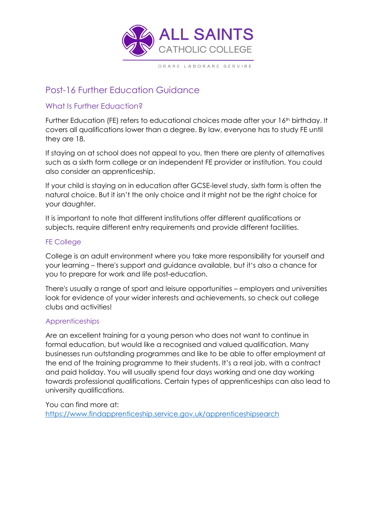

# Post-16 Further Education Guidance

## What Is Further Eduaction?

Further Education (FE) refers to educational choices made after your 16<sup>th</sup> birthday. It covers all qualifications lower than a degree. By law, everyone has to study FE until they are 18.

If staying on at school does not appeal to you, then there are plenty of alternatives such as a sixth form college or an independent FE provider or institution. You could also consider an apprenticeship.

If your child is staying on in education after GCSE-level study, sixth form is often the natural choice. But it isn't the only choice and it might not be the right choice for your daughter.

It is important to note that different institutions offer different qualifications or subjects, require different entry requirements and provide different facilities.

## FE College

College is an adult environment where you take more responsibility for yourself and your learning – there's support and guidance available, but it's also a chance for you to prepare for work and life post-education.

There's usually a range of sport and leisure opportunities – employers and universities look for evidence of your wider interests and achievements, so check out college clubs and activities!

## Apprenticeships

Are an excellent training for a young person who does not want to continue in formal education, but would like a recognised and valued qualification. Many businesses run outstanding programmes and like to be able to offer employment at the end of the training programme to their students. It's a real job, with a contract and paid holiday. You will usually spend four days working and one day working towards professional qualifications. Certain types of apprenticeships can also lead to university qualifications.

You can find more at: <https://www.findapprenticeship.service.gov.uk/apprenticeshipsearch>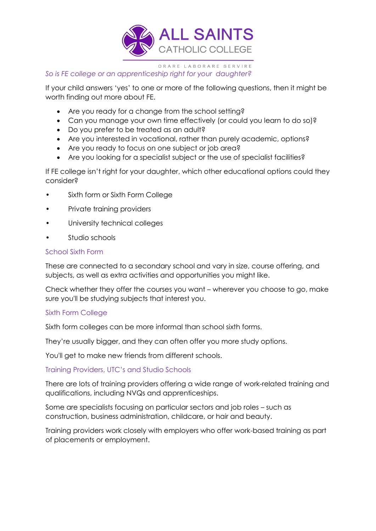

## *So is FE college or an apprenticeship right for your daughter?*

If your child answers 'yes' to one or more of the following questions, then it might be worth finding out more about FE.

- Are you ready for a change from the school setting?
- Can you manage your own time effectively (or could you learn to do so)?
- Do you prefer to be treated as an adult?
- Are you interested in vocational, rather than purely academic, options?
- Are you ready to focus on one subject or job area?
- Are you looking for a specialist subject or the use of specialist facilities?

If FE college isn't right for your daughter, which other educational options could they consider?

- Sixth form or Sixth Form College
- Private training providers
- University technical colleges
- Studio schools

## School Sixth Form

These are connected to a secondary school and vary in size, course offering, and subjects, as well as extra activities and opportunities you might like.

Check whether they offer the courses you want – wherever you choose to go, make sure you'll be studying subjects that interest you.

## Sixth Form College

Sixth form colleges can be more informal than school sixth forms.

They're usually bigger, and they can often offer you more study options.

You'll get to make new friends from different schools.

Training Providers, UTC's and Studio Schools

There are lots of training providers offering a wide range of work-related training and qualifications, including NVQs and apprenticeships.

Some are specialists focusing on particular sectors and job roles – such as construction, business administration, childcare, or hair and beauty.

Training providers work closely with employers who offer work-based training as part of placements or employment.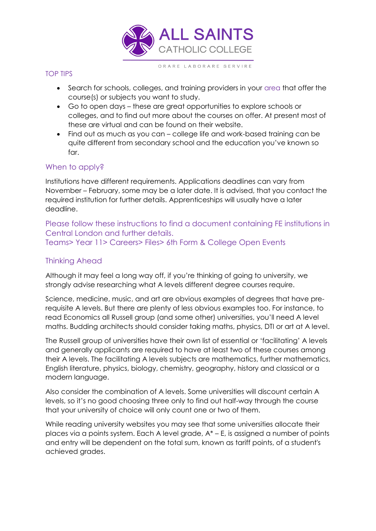

#### TOP TIPS

- Search for schools, colleges, and training providers in your area that offer the course(s) or subjects you want to study.
- Go to open days these are great opportunities to explore schools or colleges, and to find out more about the courses on offer. At present most of these are virtual and can be found on their website.
- Find out as much as you can college life and work-based training can be quite different from secondary school and the education you've known so far.

## When to apply?

Institutions have different requirements. Applications deadlines can vary from November – February, some may be a later date. It is advised, that you contact the required institution for further details. Apprenticeships will usually have a later deadline.

Please follow these instructions to find a document containing FE institutions in Central London and further details. Teams> Year 11> Careers> Files> 6th Form & College Open Events

## Thinking Ahead

Although it may feel a long way off, if you're thinking of going to university, we strongly advise researching what A levels different degree courses require.

Science, medicine, music, and art are obvious examples of degrees that have prerequisite A levels. But there are plenty of less obvious examples too. For instance, to read Economics all Russell group (and some other) universities, you'll need A level maths. Budding architects should consider taking maths, physics, DTI or art at A level.

The Russell group of universities have their own list of essential or 'facilitating' A levels and generally applicants are required to have at least two of these courses among their A levels. The facilitating A levels subjects are mathematics, further mathematics, English literature, physics, biology, chemistry, geography, history and classical or a modern language.

Also consider the combination of A levels. Some universities will discount certain A levels, so it's no good choosing three only to find out half-way through the course that your university of choice will only count one or two of them.

While reading university websites you may see that some universities allocate their places via a points system. Each A level grade,  $A^* - E$ , is assigned a number of points and entry will be dependent on the total sum, known as tariff points, of a student's achieved grades.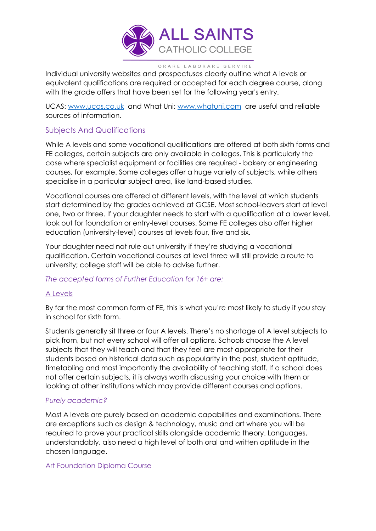

Individual university websites and prospectuses clearly outline what A levels or equivalent qualifications are required or accepted for each degree course, along with the grade offers that have been set for the following year's entry.

UCAS: [www.ucas.co.uk](http://www.ucas.co.uk/) and What Uni: [www.whatuni.com](http://www.whatuni.com/) are useful and reliable sources of information.

## Subjects And Qualifications

While A levels and some vocational qualifications are offered at both sixth forms and FE colleges, certain subjects are only available in colleges. This is particularly the case where specialist equipment or facilities are required - bakery or engineering courses, for example. Some colleges offer a huge variety of subjects, while others specialise in a particular subject area, like land-based studies.

Vocational courses are offered at different levels, with the level at which students start determined by the grades achieved at GCSE. Most school-leavers start at level one, two or three. If your daughter needs to start with a qualification at a lower level, look out for foundation or entry-level courses. Some FE colleges also offer higher education (university-level) courses at levels four, five and six.

Your daughter need not rule out university if they're studying a vocational qualification. Certain vocational courses at level three will still provide a route to university; college staff will be able to advise further.

## *The accepted forms of Further Education for 16+ are:*

## A Levels

By far the most common form of FE, this is what you're most likely to study if you stay in school for sixth form.

Students generally sit three or four A levels. There's no shortage of A level subjects to pick from, but not every school will offer all options. Schools choose the A level subjects that they will teach and that they feel are most appropriate for their students based on historical data such as popularity in the past, student aptitude, timetabling and most importantly the availability of teaching staff. If a school does not offer certain subjects, it is always worth discussing your choice with them or looking at other institutions which may provide different courses and options.

## *Purely academic?*

Most A levels are purely based on academic capabilities and examinations. There are exceptions such as design & technology, music and art where you will be required to prove your practical skills alongside academic theory. Languages, understandably, also need a high level of both oral and written aptitude in the chosen language.

Art Foundation Diploma Course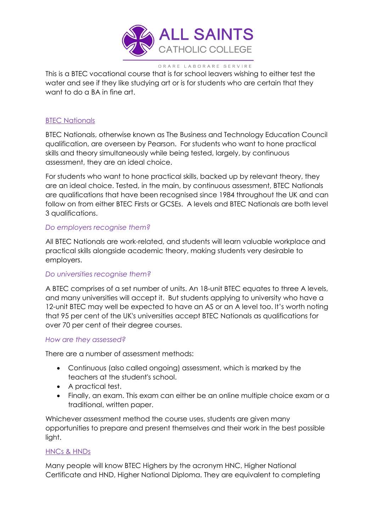

This is a BTEC vocational course that is for school leavers wishing to either test the water and see if they like studying art or is for students who are certain that they want to do a BA in fine art.

### **BTEC Nationals**

BTEC Nationals, otherwise known as The Business and Technology Education Council qualification, are overseen by Pearson. For students who want to hone practical skills and theory simultaneously while being tested, largely, by continuous assessment, they are an ideal choice.

For students who want to hone practical skills, backed up by relevant theory, they are an ideal choice. Tested, in the main, by continuous assessment, BTEC Nationals are qualifications that have been recognised since 1984 throughout the UK and can follow on from either BTEC Firsts or GCSEs. A levels and BTEC Nationals are both level 3 qualifications.

#### *Do employers recognise them?*

All BTEC Nationals are work-related, and students will learn valuable workplace and practical skills alongside academic theory, making students very desirable to employers.

## *Do universities recognise them?*

A BTEC comprises of a set number of units. An 18-unit BTEC equates to three A levels, and many universities will accept it. But students applying to university who have a 12-unit BTEC may well be expected to have an AS or an A level too. It's worth noting that 95 per cent of the UK's universities accept BTEC Nationals as qualifications for over 70 per cent of their degree courses.

#### *How are they assessed?*

There are a number of assessment methods:

- Continuous (also called ongoing) assessment, which is marked by the teachers at the student's school.
- A practical test.
- Finally, an exam. This exam can either be an online multiple choice exam or a traditional, written paper.

Whichever assessment method the course uses, students are given many opportunities to prepare and present themselves and their work in the best possible light.

#### HNCs & HNDs

Many people will know BTEC Highers by the acronym HNC, Higher National Certificate and HND, Higher National Diploma. They are equivalent to completing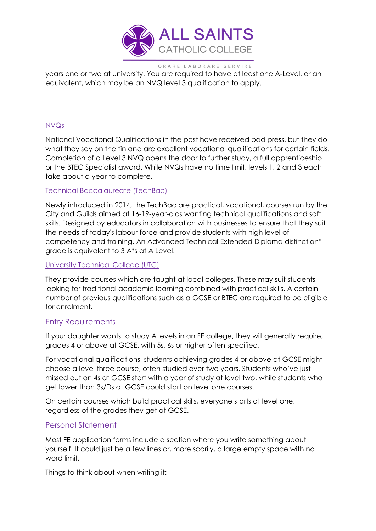

years one or two at university. You are required to have at least one A-Level, or an equivalent, which may be an NVQ level 3 qualification to apply.

## NVQs

National Vocational Qualifications in the past have received bad press, but they do what they say on the tin and are excellent vocational qualifications for certain fields. Completion of a Level 3 NVQ opens the door to further study, a full apprenticeship or the BTEC Specialist award. While NVQs have no time limit, levels 1, 2 and 3 each take about a year to complete.

#### Technical Baccalaureate (TechBac)

Newly introduced in 2014, the TechBac are practical, vocational, courses run by the City and Guilds aimed at 16-19-year-olds wanting technical qualifications and soft skills. Designed by educators in collaboration with businesses to ensure that they suit the needs of today's labour force and provide students with high level of competency and training. An Advanced Technical Extended Diploma distinction\* grade is equivalent to 3 A\*s at A Level.

### University Technical College (UTC)

They provide courses which are taught at local colleges. These may suit students looking for traditional academic learning combined with practical skills. A certain number of previous qualifications such as a GCSE or BTEC are required to be eligible for enrolment.

## Entry Requirements

If your daughter wants to study A levels in an FE college, they will generally require, grades 4 or above at GCSE, with 5s, 6s or higher often specified.

For vocational qualifications, students achieving grades 4 or above at GCSE might choose a level three course, often studied over two years. Students who've just missed out on 4s at GCSE start with a year of study at level two, while students who get lower than 3s/Ds at GCSE could start on level one courses.

On certain courses which build practical skills, everyone starts at level one, regardless of the grades they get at GCSE.

## Personal Statement

Most FE application forms include a section where you write something about yourself. It could just be a few lines or, more scarily, a large empty space with no word limit.

Things to think about when writing it: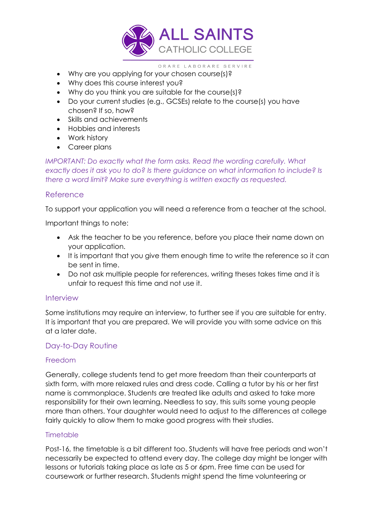

- Why are you applying for your chosen course(s)?
- Why does this course interest you?
- Why do you think you are suitable for the course(s)?
- Do your current studies (e.g., GCSEs) relate to the course(s) you have chosen? If so, how?
- Skills and achievements
- Hobbies and interests
- Work history
- Career plans

*IMPORTANT: Do exactly what the form asks. Read the wording carefully. What exactly does it ask you to do? Is there guidance on what information to include? Is there a word limit? Make sure everything is written exactly as requested.*

## Reference

To support your application you will need a reference from a teacher at the school.

Important things to note:

- Ask the teacher to be you reference, before you place their name down on your application.
- It is important that you give them enough time to write the reference so it can be sent in time.
- Do not ask multiple people for references, writing theses takes time and it is unfair to request this time and not use it.

## Interview

Some institutions may require an interview, to further see if you are suitable for entry. It is important that you are prepared. We will provide you with some advice on this at a later date.

## Day-to-Day Routine

## Freedom

Generally, college students tend to get more freedom than their counterparts at sixth form, with more relaxed rules and dress code. Calling a tutor by his or her first name is commonplace. Students are treated like adults and asked to take more responsibility for their own learning. Needless to say, this suits some young people more than others. Your daughter would need to adjust to the differences at college fairly quickly to allow them to make good progress with their studies.

## **Timetable**

Post-16, the timetable is a bit different too. Students will have free periods and won't necessarily be expected to attend every day. The college day might be longer with lessons or tutorials taking place as late as 5 or 6pm. Free time can be used for coursework or further research. Students might spend the time volunteering or